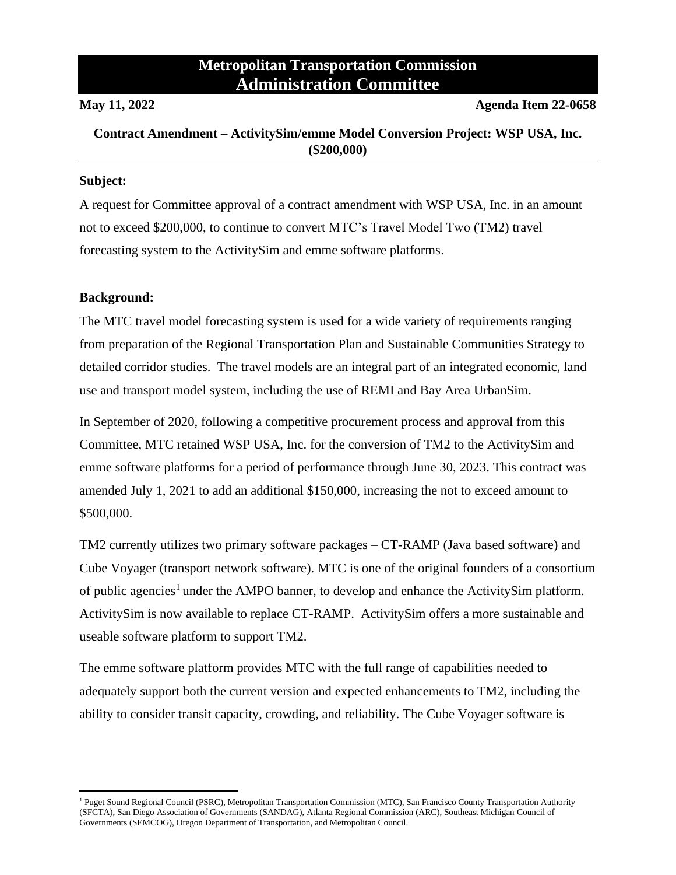# **Metropolitan Transportation Commission Administration Committee**

**May 11, 2022 Agenda Item 22-0658**

## **Contract Amendment – ActivitySim/emme Model Conversion Project: WSP USA, Inc. (\$200,000)**

#### **Subject:**

A request for Committee approval of a contract amendment with WSP USA, Inc. in an amount not to exceed \$200,000, to continue to convert MTC's Travel Model Two (TM2) travel forecasting system to the ActivitySim and emme software platforms.

### **Background:**

The MTC travel model forecasting system is used for a wide variety of requirements ranging from preparation of the Regional Transportation Plan and Sustainable Communities Strategy to detailed corridor studies. The travel models are an integral part of an integrated economic, land use and transport model system, including the use of REMI and Bay Area UrbanSim.

In September of 2020, following a competitive procurement process and approval from this Committee, MTC retained WSP USA, Inc. for the conversion of TM2 to the ActivitySim and emme software platforms for a period of performance through June 30, 2023. This contract was amended July 1, 2021 to add an additional \$150,000, increasing the not to exceed amount to \$500,000.

TM2 currently utilizes two primary software packages – CT-RAMP (Java based software) and Cube Voyager (transport network software). MTC is one of the original founders of a consortium of public agencies<sup>1</sup> under the AMPO banner, to develop and enhance the ActivitySim platform. ActivitySim is now available to replace CT-RAMP. ActivitySim offers a more sustainable and useable software platform to support TM2.

The emme software platform provides MTC with the full range of capabilities needed to adequately support both the current version and expected enhancements to TM2, including the ability to consider transit capacity, crowding, and reliability. The Cube Voyager software is

<sup>&</sup>lt;sup>1</sup> Puget Sound Regional Council (PSRC), Metropolitan Transportation Commission (MTC), San Francisco County Transportation Authority (SFCTA), San Diego Association of Governments (SANDAG), Atlanta Regional Commission (ARC), Southeast Michigan Council of Governments (SEMCOG), Oregon Department of Transportation, and Metropolitan Council.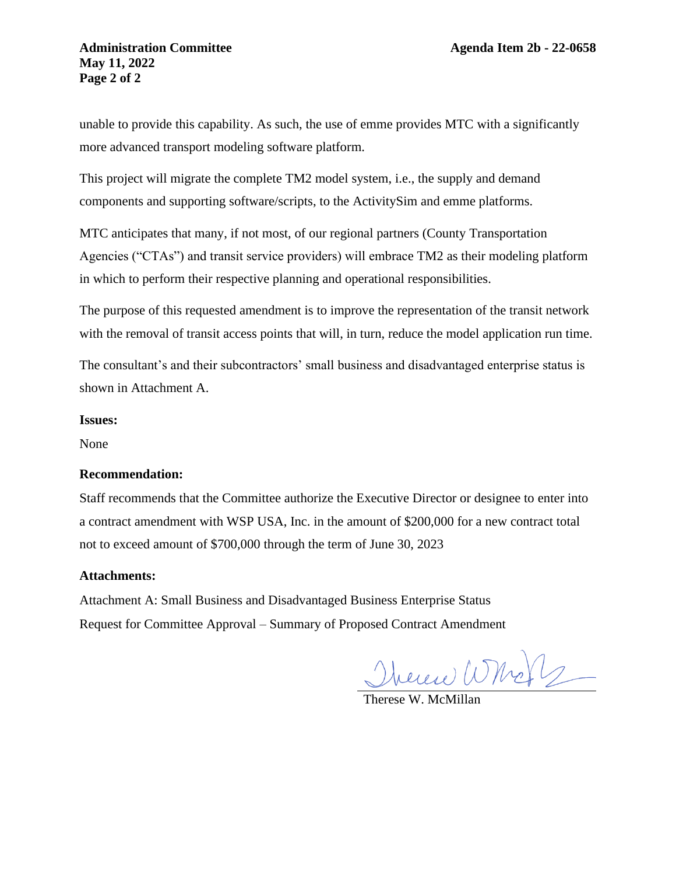### **Administration Committee Agenda Item 2b - 22-0658 May 11, 2022 Page 2 of 2**

unable to provide this capability. As such, the use of emme provides MTC with a significantly more advanced transport modeling software platform.

This project will migrate the complete TM2 model system, i.e., the supply and demand components and supporting software/scripts, to the ActivitySim and emme platforms.

MTC anticipates that many, if not most, of our regional partners (County Transportation Agencies ("CTAs") and transit service providers) will embrace TM2 as their modeling platform in which to perform their respective planning and operational responsibilities.

The purpose of this requested amendment is to improve the representation of the transit network with the removal of transit access points that will, in turn, reduce the model application run time.

The consultant's and their subcontractors' small business and disadvantaged enterprise status is shown in Attachment A.

#### **Issues:**

None

#### **Recommendation:**

Staff recommends that the Committee authorize the Executive Director or designee to enter into a contract amendment with WSP USA, Inc. in the amount of \$200,000 for a new contract total not to exceed amount of \$700,000 through the term of June 30, 2023

#### **Attachments:**

Attachment A: Small Business and Disadvantaged Business Enterprise Status Request for Committee Approval – Summary of Proposed Contract Amendment

Therene Whole

Therese W. McMillan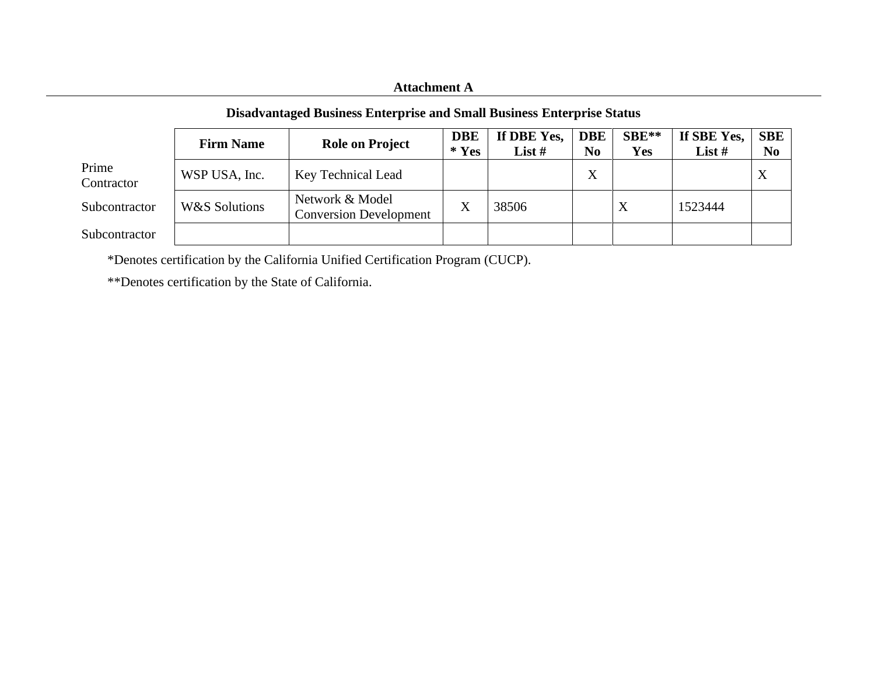## **Attachment A**

## **Disadvantaged Business Enterprise and Small Business Enterprise Status**

|                     | <b>Firm Name</b> | <b>Role on Project</b>                           | <b>DBE</b><br>$*$ Yes | If DBE Yes,<br>List $#$ | <b>DBE</b><br>N <sub>0</sub> | $SBE**$<br><b>Yes</b> | If SBE Yes,<br>List $#$ | SBE<br>N <sub>0</sub> |
|---------------------|------------------|--------------------------------------------------|-----------------------|-------------------------|------------------------------|-----------------------|-------------------------|-----------------------|
| Prime<br>Contractor | WSP USA, Inc.    | Key Technical Lead                               |                       |                         | X                            |                       |                         | $\Lambda$             |
| Subcontractor       | W&S Solutions    | Network & Model<br><b>Conversion Development</b> | $\rm\overline{X}$     | 38506                   |                              | X                     | 1523444                 |                       |
| Subcontractor       |                  |                                                  |                       |                         |                              |                       |                         |                       |

\*Denotes certification by the California Unified Certification Program (CUCP).

\*\*Denotes certification by the State of California.